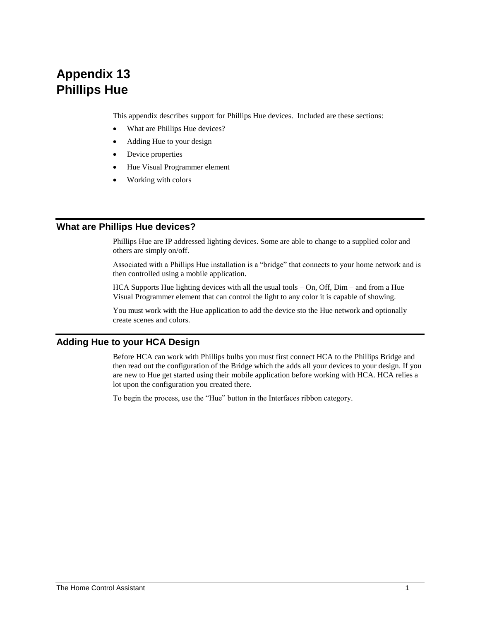# **Appendix 13 Phillips Hue**

This appendix describes support for Phillips Hue devices. Included are these sections:

- What are Phillips Hue devices?
- Adding Hue to your design
- Device properties
- Hue Visual Programmer element
- Working with colors

## **What are Phillips Hue devices?**

Phillips Hue are IP addressed lighting devices. Some are able to change to a supplied color and others are simply on/off.

Associated with a Phillips Hue installation is a "bridge" that connects to your home network and is then controlled using a mobile application.

HCA Supports Hue lighting devices with all the usual tools – On, Off, Dim – and from a Hue Visual Programmer element that can control the light to any color it is capable of showing.

You must work with the Hue application to add the device sto the Hue network and optionally create scenes and colors.

## **Adding Hue to your HCA Design**

Before HCA can work with Phillips bulbs you must first connect HCA to the Phillips Bridge and then read out the configuration of the Bridge which the adds all your devices to your design. If you are new to Hue get started using their mobile application before working with HCA. HCA relies a lot upon the configuration you created there.

To begin the process, use the "Hue" button in the Interfaces ribbon category.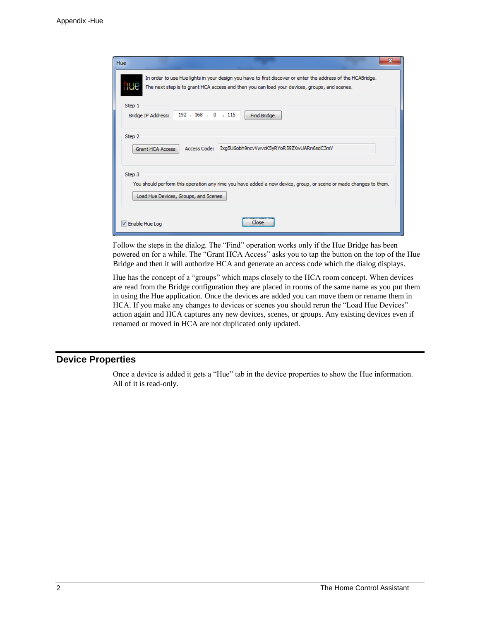| <b>Hue</b>                                                                                                                                                         |                                                                                                                                                                                                             |  |  |  |  |  |
|--------------------------------------------------------------------------------------------------------------------------------------------------------------------|-------------------------------------------------------------------------------------------------------------------------------------------------------------------------------------------------------------|--|--|--|--|--|
| IJе                                                                                                                                                                | In order to use Hue lights in your design you have to first discover or enter the address of the HCABridge.<br>The next step is to grant HCA access and then you can load your devices, groups, and scenes. |  |  |  |  |  |
| Step 1<br>Bridge IP Address:                                                                                                                                       | 192 . 168 . 0 . 115<br><b>Find Bridge</b>                                                                                                                                                                   |  |  |  |  |  |
| Step 2                                                                                                                                                             | Access Code: Ixg5U6obh9ncvVwvcK5yRYoR59ZXwUARn6sdC3mV<br><b>Grant HCA Access</b>                                                                                                                            |  |  |  |  |  |
| Step 3<br>You should perform this operation any rime you have added a new device, group, or scene or made changes to them.<br>Load Hue Devices, Groups, and Scenes |                                                                                                                                                                                                             |  |  |  |  |  |
| T Enable Hue Log                                                                                                                                                   | Close                                                                                                                                                                                                       |  |  |  |  |  |

Follow the steps in the dialog. The "Find" operation works only if the Hue Bridge has been powered on for a while. The "Grant HCA Access" asks you to tap the button on the top of the Hue Bridge and then it will authorize HCA and generate an access code which the dialog displays.

Hue has the concept of a "groups" which maps closely to the HCA room concept. When devices are read from the Bridge configuration they are placed in rooms of the same name as you put them in using the Hue application. Once the devices are added you can move them or rename them in HCA. If you make any changes to devices or scenes you should rerun the "Load Hue Devices" action again and HCA captures any new devices, scenes, or groups. Any existing devices even if renamed or moved in HCA are not duplicated only updated.

#### **Device Properties**

Once a device is added it gets a "Hue" tab in the device properties to show the Hue information. All of it is read-only.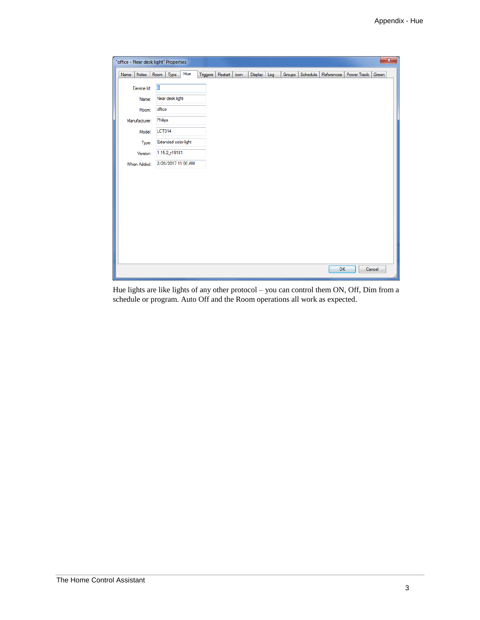| "office - Near desk light" Properties |                      |     |                     |      |         |     |                    |            |             | $\overline{\mathbf{x}}$ |
|---------------------------------------|----------------------|-----|---------------------|------|---------|-----|--------------------|------------|-------------|-------------------------|
| Notes<br>Name                         | Type<br>Room         | Hue | Restart<br>Triggers | Icon | Display | Log | Schedule<br>Groups | References | Power Track | Green                   |
| Device Id:                            | $\overline{4}$       |     |                     |      |         |     |                    |            |             |                         |
| Name:                                 | Near desk light      |     |                     |      |         |     |                    |            |             |                         |
| Room:                                 | office               |     |                     |      |         |     |                    |            |             |                         |
| Manufacturer:                         | Philips              |     |                     |      |         |     |                    |            |             |                         |
| Model:                                | <b>LCT014</b>        |     |                     |      |         |     |                    |            |             |                         |
| Type:                                 | Extended color light |     |                     |      |         |     |                    |            |             |                         |
| Version:                              | 1.15.2_r19181        |     |                     |      |         |     |                    |            |             |                         |
| When Added:                           | 2/20/2017 11:00 AM   |     |                     |      |         |     |                    |            |             |                         |
|                                       |                      |     |                     |      |         |     |                    |            |             |                         |
|                                       |                      |     |                     |      |         |     |                    |            |             |                         |
|                                       |                      |     |                     |      |         |     |                    |            |             |                         |
|                                       |                      |     |                     |      |         |     |                    |            |             |                         |
|                                       |                      |     |                     |      |         |     |                    |            |             |                         |
|                                       |                      |     |                     |      |         |     |                    |            |             |                         |
|                                       |                      |     |                     |      |         |     |                    |            |             |                         |
|                                       |                      |     |                     |      |         |     |                    |            |             |                         |
|                                       |                      |     |                     |      |         |     |                    |            |             |                         |
|                                       |                      |     |                     |      |         |     |                    | OK         |             | Cancel                  |

Hue lights are like lights of any other protocol – you can control them ON, Off, Dim from a schedule or program. Auto Off and the Room operations all work as expected.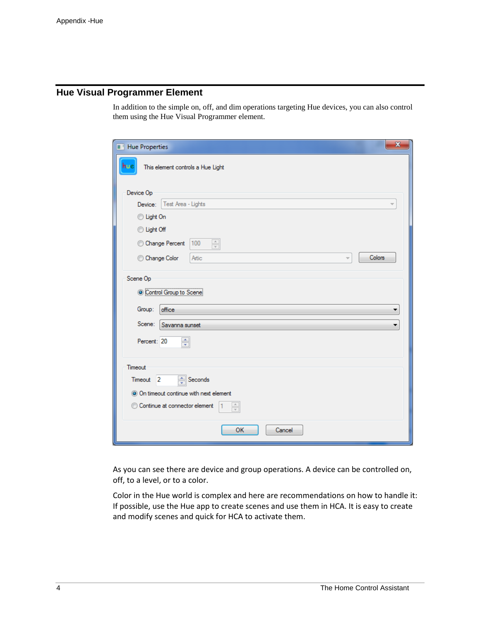# **Hue Visual Programmer Element**

In addition to the simple on, off, and dim operations targeting Hue devices, you can also control them using the Hue Visual Programmer element.

| $\mathbf{x}$<br>Hue Properties                            |  |  |  |  |  |
|-----------------------------------------------------------|--|--|--|--|--|
| This element controls a Hue Light<br>nue                  |  |  |  |  |  |
| Device Op                                                 |  |  |  |  |  |
| Test Area - Lights<br>Device:<br>$\overline{\phantom{a}}$ |  |  |  |  |  |
| C Light On                                                |  |  |  |  |  |
| <b>Uight Off</b>                                          |  |  |  |  |  |
| $\frac{\triangle}{\tau}$<br>Change Percent<br>100         |  |  |  |  |  |
| Colors<br>Artic<br>Change Color<br>Ψ                      |  |  |  |  |  |
| Scene Op                                                  |  |  |  |  |  |
| Control Group to Scene                                    |  |  |  |  |  |
| office<br>Group:<br>▼                                     |  |  |  |  |  |
| Scene:<br>Savanna sunset<br>▼                             |  |  |  |  |  |
| ÷<br>Percent: 20                                          |  |  |  |  |  |
| Timeout                                                   |  |  |  |  |  |
| $\frac{4}{x}$ Seconds<br>Timeout <sub>2</sub>             |  |  |  |  |  |
| O On timeout continue with next element                   |  |  |  |  |  |
| Continue at connector element<br>$\frac{1}{\sqrt{2}}$     |  |  |  |  |  |
| OK<br>Cancel                                              |  |  |  |  |  |

As you can see there are device and group operations. A device can be controlled on, off, to a level, or to a color.

Color in the Hue world is complex and here are recommendations on how to handle it: If possible, use the Hue app to create scenes and use them in HCA. It is easy to create and modify scenes and quick for HCA to activate them.